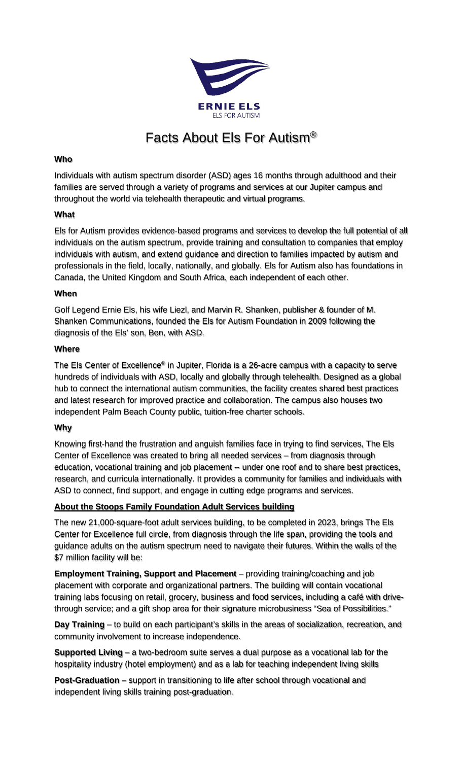

# Facts About Els For Autism®

## **Who**

Individuals with autism spectrum disorder (ASD) ages 16 months through adulthood and their families are served through a variety of programs and services at our Jupiter campus and throughout the world via telehealth therapeutic and virtual programs.

## **What**

Els for Autism provides evidence-based programs and services to develop the full potential of all individuals on the autism spectrum, provide training and consultation to companies that employ individuals with autism, and extend guidance and direction to families impacted by autism and professionals in the field, locally, nationally, and globally. Els for Autism also has foundations in Canada, the United Kingdom and South Africa, each independent of each other.

#### **When**

Golf Legend Ernie Els, his wife Liezl, and Marvin R. Shanken, publisher & founder of M. Shanken Communications, founded the Els for Autism Foundation in 2009 following the diagnosis of the Els' son, Ben, with ASD.

#### **Where**

The Els Center of Excellence<sup>®</sup> in Jupiter, Florida is a 26-acre campus with a capacity to serve hundreds of individuals with ASD, locally and globally through telehealth. Designed as a global hub to connect the international autism communities, the facility creates shared best practices and latest research for improved practice and collaboration. The campus also houses two independent Palm Beach County public, tuition-free charter schools.

## **Why**

Knowing first-hand the frustration and anguish families face in trying to find services, The Els Center of Excellence was created to bring all needed services – from diagnosis through education, vocational training and job placement -- under one roof and to share best practices, research, and curricula internationally. It provides a community for families and individuals with ASD to connect, find support, and engage in cutting edge programs and services.

## **About the Stoops Family Foundation Adult Services building**

The new 21,000-square-foot adult services building, to be completed in 2023, brings The Els Center for Excellence full circle, from diagnosis through the life span, providing the tools and guidance adults on the autism spectrum need to navigate their futures. Within the walls of the \$7 million facility will be:

**Employment Training, Support and Placement** – providing training/coaching and job placement with corporate and organizational partners. The building will contain vocational training labs focusing on retail, grocery, business and food services, including a café with drivethrough service; and a gift shop area for their signature microbusiness "Sea of Possibilities."

**Day Training** – to build on each participant's skills in the areas of socialization, recreation, and community involvement to increase independence.

**Supported Living** – a two-bedroom suite serves a dual purpose as a vocational lab for the hospitality industry (hotel employment) and as a lab for teaching independent living skills

**Post-Graduation** – support in transitioning to life after school through vocational and independent living skills training post-graduation.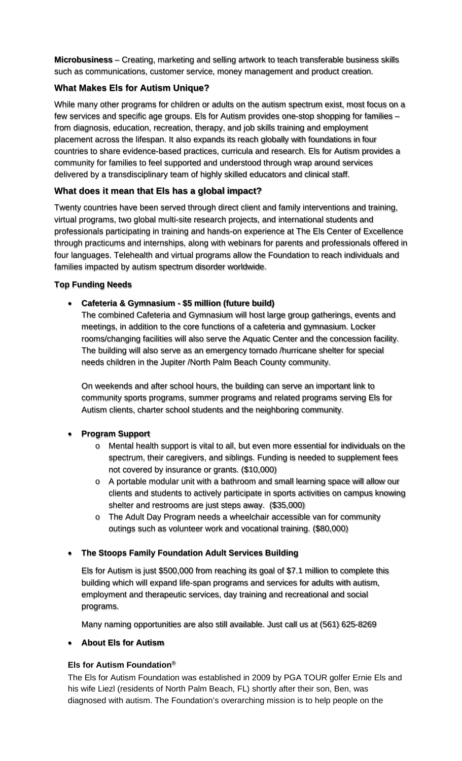**Microbusiness** – Creating, marketing and selling artwork to teach transferable business skills such as communications, customer service, money management and product creation.

# **What Makes Els for Autism Unique?**

While many other programs for children or adults on the autism spectrum exist, most focus on a few services and specific age groups. Els for Autism provides one-stop shopping for families – from diagnosis, education, recreation, therapy, and job skills training and employment placement across the lifespan. It also expands its reach globally with foundations in four countries to share evidence-based practices, curricula and research. Els for Autism provides a community for families to feel supported and understood through wrap around services delivered by a transdisciplinary team of highly skilled educators and clinical staff.

# **What does it mean that Els has a global impact?**

Twenty countries have been served through direct client and family interventions and training, virtual programs, two global multi-site research projects, and international students and professionals participating in training and hands-on experience at The Els Center of Excellence through practicums and internships, along with webinars for parents and professionals offered in four languages. Telehealth and virtual programs allow the Foundation to reach individuals and families impacted by autism spectrum disorder worldwide.

## **Top Funding Needs**

# • **Cafeteria & Gymnasium - \$5 million (future build)**

The combined Cafeteria and Gymnasium will host large group gatherings, events and meetings, in addition to the core functions of a cafeteria and gymnasium. Locker rooms/changing facilities will also serve the Aquatic Center and the concession facility. The building will also serve as an emergency tornado /hurricane shelter for special needs children in the Jupiter /North Palm Beach County community.

On weekends and after school hours, the building can serve an important link to community sports programs, summer programs and related programs serving Els for Autism clients, charter school students and the neighboring community.

## • **Program Support**

- o Mental health support is vital to all, but even more essential for individuals on the spectrum, their caregivers, and siblings. Funding is needed to supplement fees not covered by insurance or grants. (\$10,000)
- $\circ$  A portable modular unit with a bathroom and small learning space will allow our clients and students to actively participate in sports activities on campus knowing shelter and restrooms are just steps away. (\$35,000)
- o The Adult Day Program needs a wheelchair accessible van for community outings such as volunteer work and vocational training. (\$80,000)

## • **The Stoops Family Foundation Adult Services Building**

Els for Autism is just \$500,000 from reaching its goal of \$7.1 million to complete this building which will expand life-span programs and services for adults with autism, employment and therapeutic services, day training and recreational and social programs.

Many naming opportunities are also still available. Just call us at (561) 625-8269

## • **About Els for Autism**

## **Els for Autism Foundation**®

The Els for Autism Foundation was established in 2009 by PGA TOUR golfer Ernie Els and his wife Liezl (residents of North Palm Beach, FL) shortly after their son, Ben, was diagnosed with autism. The Foundation's overarching mission is to help people on the